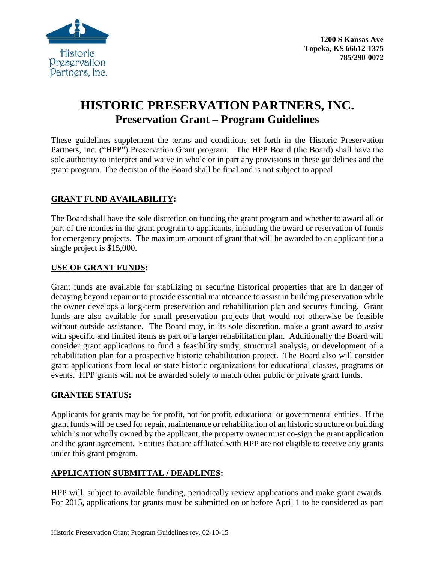

# **HISTORIC PRESERVATION PARTNERS, INC. Preservation Grant – Program Guidelines**

These guidelines supplement the terms and conditions set forth in the Historic Preservation Partners, Inc. ("HPP") Preservation Grant program. The HPP Board (the Board) shall have the sole authority to interpret and waive in whole or in part any provisions in these guidelines and the grant program. The decision of the Board shall be final and is not subject to appeal.

# **GRANT FUND AVAILABILITY:**

The Board shall have the sole discretion on funding the grant program and whether to award all or part of the monies in the grant program to applicants, including the award or reservation of funds for emergency projects. The maximum amount of grant that will be awarded to an applicant for a single project is \$15,000.

## **USE OF GRANT FUNDS:**

Grant funds are available for stabilizing or securing historical properties that are in danger of decaying beyond repair or to provide essential maintenance to assist in building preservation while the owner develops a long-term preservation and rehabilitation plan and secures funding. Grant funds are also available for small preservation projects that would not otherwise be feasible without outside assistance. The Board may, in its sole discretion, make a grant award to assist with specific and limited items as part of a larger rehabilitation plan. Additionally the Board will consider grant applications to fund a feasibility study, structural analysis, or development of a rehabilitation plan for a prospective historic rehabilitation project. The Board also will consider grant applications from local or state historic organizations for educational classes, programs or events. HPP grants will not be awarded solely to match other public or private grant funds.

## **GRANTEE STATUS:**

Applicants for grants may be for profit, not for profit, educational or governmental entities. If the grant funds will be used for repair, maintenance or rehabilitation of an historic structure or building which is not wholly owned by the applicant, the property owner must co-sign the grant application and the grant agreement. Entities that are affiliated with HPP are not eligible to receive any grants under this grant program.

## **APPLICATION SUBMITTAL / DEADLINES:**

HPP will, subject to available funding, periodically review applications and make grant awards. For 2015, applications for grants must be submitted on or before April 1 to be considered as part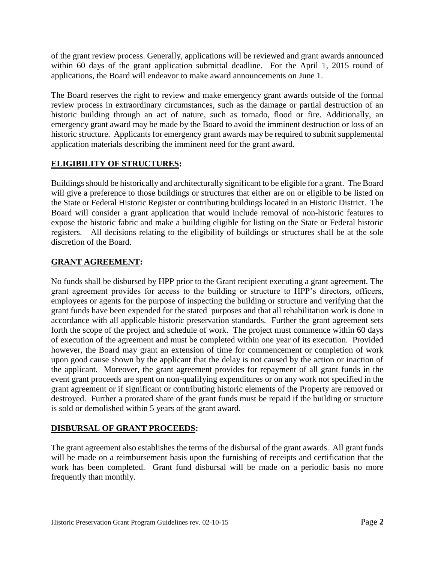of the grant review process. Generally, applications will be reviewed and grant awards announced within 60 days of the grant application submittal deadline. For the April 1, 2015 round of applications, the Board will endeavor to make award announcements on June 1.

The Board reserves the right to review and make emergency grant awards outside of the formal review process in extraordinary circumstances, such as the damage or partial destruction of an historic building through an act of nature, such as tornado, flood or fire. Additionally, an emergency grant award may be made by the Board to avoid the imminent destruction or loss of an historic structure. Applicants for emergency grant awards may be required to submit supplemental application materials describing the imminent need for the grant award.

# **ELIGIBILITY OF STRUCTURES:**

Buildings should be historically and architecturally significant to be eligible for a grant. The Board will give a preference to those buildings or structures that either are on or eligible to be listed on the State or Federal Historic Register or contributing buildings located in an Historic District. The Board will consider a grant application that would include removal of non-historic features to expose the historic fabric and make a building eligible for listing on the State or Federal historic registers. All decisions relating to the eligibility of buildings or structures shall be at the sole discretion of the Board.

## **GRANT AGREEMENT:**

No funds shall be disbursed by HPP prior to the Grant recipient executing a grant agreement. The grant agreement provides for access to the building or structure to HPP's directors, officers, employees or agents for the purpose of inspecting the building or structure and verifying that the grant funds have been expended for the stated purposes and that all rehabilitation work is done in accordance with all applicable historic preservation standards. Further the grant agreement sets forth the scope of the project and schedule of work. The project must commence within 60 days of execution of the agreement and must be completed within one year of its execution. Provided however, the Board may grant an extension of time for commencement or completion of work upon good cause shown by the applicant that the delay is not caused by the action or inaction of the applicant. Moreover, the grant agreement provides for repayment of all grant funds in the event grant proceeds are spent on non-qualifying expenditures or on any work not specified in the grant agreement or if significant or contributing historic elements of the Property are removed or destroyed. Further a prorated share of the grant funds must be repaid if the building or structure is sold or demolished within 5 years of the grant award.

## **DISBURSAL OF GRANT PROCEEDS:**

The grant agreement also establishes the terms of the disbursal of the grant awards. All grant funds will be made on a reimbursement basis upon the furnishing of receipts and certification that the work has been completed. Grant fund disbursal will be made on a periodic basis no more frequently than monthly.